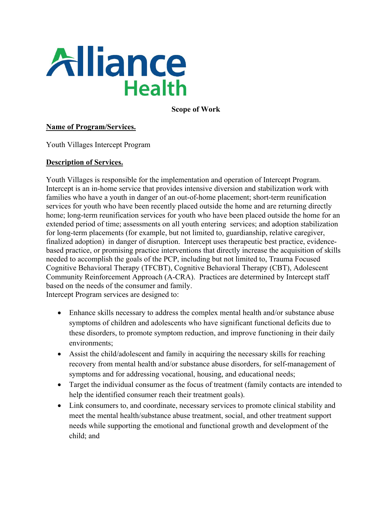

**Scope of Work**

#### **Name of Program/Services.**

Youth Villages Intercept Program

#### **Description of Services.**

Youth Villages is responsible for the implementation and operation of Intercept Program. Intercept is an in-home service that provides intensive diversion and stabilization work with families who have a youth in danger of an out-of-home placement; short-term reunification services for youth who have been recently placed outside the home and are returning directly home; long-term reunification services for youth who have been placed outside the home for an extended period of time; assessments on all youth entering services; and adoption stabilization for long-term placements (for example, but not limited to, guardianship, relative caregiver, finalized adoption) in danger of disruption. Intercept uses therapeutic best practice, evidencebased practice, or promising practice interventions that directly increase the acquisition of skills needed to accomplish the goals of the PCP, including but not limited to, Trauma Focused Cognitive Behavioral Therapy (TFCBT), Cognitive Behavioral Therapy (CBT), Adolescent Community Reinforcement Approach (A-CRA). Practices are determined by Intercept staff based on the needs of the consumer and family.

Intercept Program services are designed to:

- Enhance skills necessary to address the complex mental health and/or substance abuse symptoms of children and adolescents who have significant functional deficits due to these disorders, to promote symptom reduction, and improve functioning in their daily environments;
- Assist the child/adolescent and family in acquiring the necessary skills for reaching recovery from mental health and/or substance abuse disorders, for self-management of symptoms and for addressing vocational, housing, and educational needs;
- Target the individual consumer as the focus of treatment (family contacts are intended to help the identified consumer reach their treatment goals).
- Link consumers to, and coordinate, necessary services to promote clinical stability and meet the mental health/substance abuse treatment, social, and other treatment support needs while supporting the emotional and functional growth and development of the child; and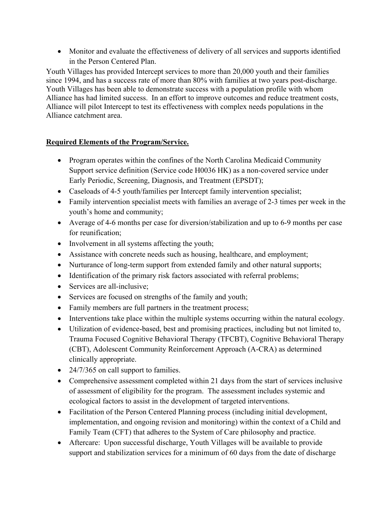• Monitor and evaluate the effectiveness of delivery of all services and supports identified in the Person Centered Plan.

Youth Villages has provided Intercept services to more than 20,000 youth and their families since 1994, and has a success rate of more than 80% with families at two years post-discharge. Youth Villages has been able to demonstrate success with a population profile with whom Alliance has had limited success. In an effort to improve outcomes and reduce treatment costs, Alliance will pilot Intercept to test its effectiveness with complex needs populations in the Alliance catchment area.

### **Required Elements of the Program/Service.**

- Program operates within the confines of the North Carolina Medicaid Community Support service definition (Service code H0036 HK) as a non-covered service under Early Periodic, Screening, Diagnosis, and Treatment (EPSDT);
- Caseloads of 4-5 youth/families per Intercept family intervention specialist;
- Family intervention specialist meets with families an average of 2-3 times per week in the youth's home and community;
- Average of 4-6 months per case for diversion/stabilization and up to 6-9 months per case for reunification;
- Involvement in all systems affecting the youth;
- Assistance with concrete needs such as housing, healthcare, and employment;
- Nurturance of long-term support from extended family and other natural supports;
- Identification of the primary risk factors associated with referral problems;
- Services are all-inclusive;
- Services are focused on strengths of the family and youth;
- Family members are full partners in the treatment process;
- Interventions take place within the multiple systems occurring within the natural ecology.
- Utilization of evidence-based, best and promising practices, including but not limited to, Trauma Focused Cognitive Behavioral Therapy (TFCBT), Cognitive Behavioral Therapy (CBT), Adolescent Community Reinforcement Approach (A-CRA) as determined clinically appropriate.
- 24/7/365 on call support to families.
- Comprehensive assessment completed within 21 days from the start of services inclusive of assessment of eligibility for the program. The assessment includes systemic and ecological factors to assist in the development of targeted interventions.
- Facilitation of the Person Centered Planning process (including initial development, implementation, and ongoing revision and monitoring) within the context of a Child and Family Team (CFT) that adheres to the System of Care philosophy and practice.
- Aftercare: Upon successful discharge, Youth Villages will be available to provide support and stabilization services for a minimum of 60 days from the date of discharge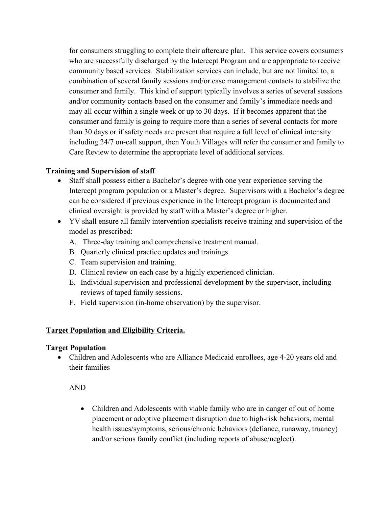for consumers struggling to complete their aftercare plan. This service covers consumers who are successfully discharged by the Intercept Program and are appropriate to receive community based services. Stabilization services can include, but are not limited to, a combination of several family sessions and/or case management contacts to stabilize the consumer and family. This kind of support typically involves a series of several sessions and/or community contacts based on the consumer and family's immediate needs and may all occur within a single week or up to 30 days. If it becomes apparent that the consumer and family is going to require more than a series of several contacts for more than 30 days or if safety needs are present that require a full level of clinical intensity including 24/7 on-call support, then Youth Villages will refer the consumer and family to Care Review to determine the appropriate level of additional services.

### **Training and Supervision of staff**

- Staff shall possess either a Bachelor's degree with one year experience serving the Intercept program population or a Master's degree. Supervisors with a Bachelor's degree can be considered if previous experience in the Intercept program is documented and clinical oversight is provided by staff with a Master's degree or higher.
- YV shall ensure all family intervention specialists receive training and supervision of the model as prescribed:
	- A. Three-day training and comprehensive treatment manual.
	- B. Quarterly clinical practice updates and trainings.
	- C. Team supervision and training.
	- D. Clinical review on each case by a highly experienced clinician.
	- E. Individual supervision and professional development by the supervisor, including reviews of taped family sessions.
	- F. Field supervision (in-home observation) by the supervisor.

#### **Target Population and Eligibility Criteria.**

#### **Target Population**

• Children and Adolescents who are Alliance Medicaid enrollees, age 4-20 years old and their families

AND

• Children and Adolescents with viable family who are in danger of out of home placement or adoptive placement disruption due to high-risk behaviors, mental health issues/symptoms, serious/chronic behaviors (defiance, runaway, truancy) and/or serious family conflict (including reports of abuse/neglect).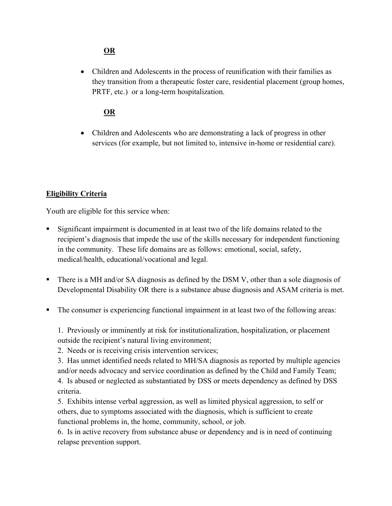## **OR**

• Children and Adolescents in the process of reunification with their families as they transition from a therapeutic foster care, residential placement (group homes, PRTF, etc.) or a long-term hospitalization.

### **OR**

• Children and Adolescents who are demonstrating a lack of progress in other services (for example, but not limited to, intensive in-home or residential care).

## **Eligibility Criteria**

Youth are eligible for this service when:

- Significant impairment is documented in at least two of the life domains related to the recipient's diagnosis that impede the use of the skills necessary for independent functioning in the community. These life domains are as follows: emotional, social, safety, medical/health, educational/vocational and legal.
- There is a MH and/or SA diagnosis as defined by the DSM V, other than a sole diagnosis of Developmental Disability OR there is a substance abuse diagnosis and ASAM criteria is met.
- The consumer is experiencing functional impairment in at least two of the following areas:

1. Previously or imminently at risk for institutionalization, hospitalization, or placement outside the recipient's natural living environment;

2. Needs or is receiving crisis intervention services;

3. Has unmet identified needs related to MH/SA diagnosis as reported by multiple agencies and/or needs advocacy and service coordination as defined by the Child and Family Team; 4. Is abused or neglected as substantiated by DSS or meets dependency as defined by DSS criteria.

5. Exhibits intense verbal aggression, as well as limited physical aggression, to self or others, due to symptoms associated with the diagnosis, which is sufficient to create functional problems in, the home, community, school, or job.

6. Is in active recovery from substance abuse or dependency and is in need of continuing relapse prevention support.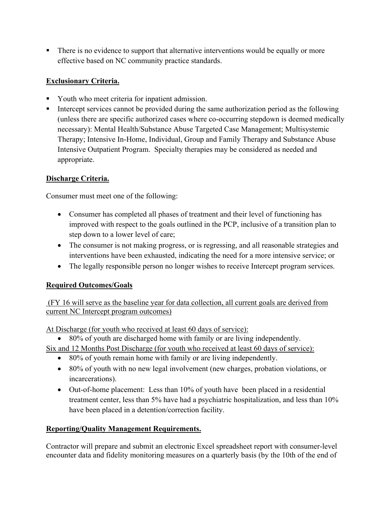There is no evidence to support that alternative interventions would be equally or more effective based on NC community practice standards.

# **Exclusionary Criteria.**

- Youth who meet criteria for inpatient admission.
- Intercept services cannot be provided during the same authorization period as the following (unless there are specific authorized cases where co-occurring stepdown is deemed medically necessary): Mental Health/Substance Abuse Targeted Case Management; Multisystemic Therapy; Intensive In-Home, Individual, Group and Family Therapy and Substance Abuse Intensive Outpatient Program. Specialty therapies may be considered as needed and appropriate.

# **Discharge Criteria.**

Consumer must meet one of the following:

- Consumer has completed all phases of treatment and their level of functioning has improved with respect to the goals outlined in the PCP, inclusive of a transition plan to step down to a lower level of care;
- The consumer is not making progress, or is regressing, and all reasonable strategies and interventions have been exhausted, indicating the need for a more intensive service; or
- The legally responsible person no longer wishes to receive Intercept program services.

## **Required Outcomes/Goals**

(FY 16 will serve as the baseline year for data collection, all current goals are derived from current NC Intercept program outcomes)

At Discharge (for youth who received at least 60 days of service):

• 80% of youth are discharged home with family or are living independently.

Six and 12 Months Post Discharge (for youth who received at least 60 days of service):

- 80% of youth remain home with family or are living independently.
- 80% of youth with no new legal involvement (new charges, probation violations, or incarcerations).
- Out-of-home placement: Less than 10% of youth have been placed in a residential treatment center, less than 5% have had a psychiatric hospitalization, and less than 10% have been placed in a detention/correction facility.

# **Reporting/Quality Management Requirements.**

Contractor will prepare and submit an electronic Excel spreadsheet report with consumer-level encounter data and fidelity monitoring measures on a quarterly basis (by the 10th of the end of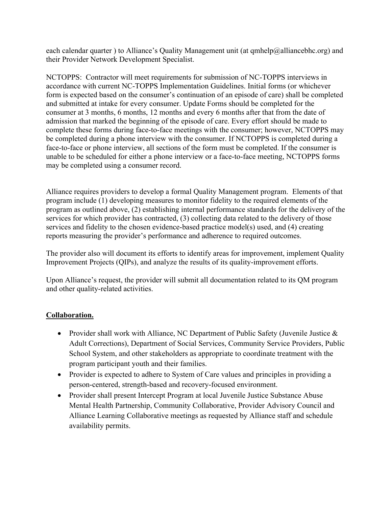each calendar quarter ) to Alliance's Quality Management unit (at [qmhelp@alliancebhc.org\)](mailto:qmhelp@alliancebhc.org) and their Provider Network Development Specialist.

NCTOPPS: Contractor will meet requirements for submission of NC-TOPPS interviews in accordance with current NC-TOPPS Implementation Guidelines. Initial forms (or whichever form is expected based on the consumer's continuation of an episode of care) shall be completed and submitted at intake for every consumer. Update Forms should be completed for the consumer at 3 months, 6 months, 12 months and every 6 months after that from the date of admission that marked the beginning of the episode of care. Every effort should be made to complete these forms during face-to-face meetings with the consumer; however, NCTOPPS may be completed during a phone interview with the consumer. If NCTOPPS is completed during a face-to-face or phone interview, all sections of the form must be completed. If the consumer is unable to be scheduled for either a phone interview or a face-to-face meeting, NCTOPPS forms may be completed using a consumer record.

Alliance requires providers to develop a formal Quality Management program. Elements of that program include (1) developing measures to monitor fidelity to the required elements of the program as outlined above, (2) establishing internal performance standards for the delivery of the services for which provider has contracted, (3) collecting data related to the delivery of those services and fidelity to the chosen evidence-based practice model(s) used, and (4) creating reports measuring the provider's performance and adherence to required outcomes.

The provider also will document its efforts to identify areas for improvement, implement Quality Improvement Projects (QIPs), and analyze the results of its quality-improvement efforts.

Upon Alliance's request, the provider will submit all documentation related to its QM program and other quality-related activities.

## **Collaboration.**

- Provider shall work with Alliance, NC Department of Public Safety (Juvenile Justice & Adult Corrections), Department of Social Services, Community Service Providers, Public School System, and other stakeholders as appropriate to coordinate treatment with the program participant youth and their families.
- Provider is expected to adhere to System of Care values and principles in providing a person-centered, strength-based and recovery-focused environment.
- Provider shall present Intercept Program at local Juvenile Justice Substance Abuse Mental Health Partnership, Community Collaborative, Provider Advisory Council and Alliance Learning Collaborative meetings as requested by Alliance staff and schedule availability permits.